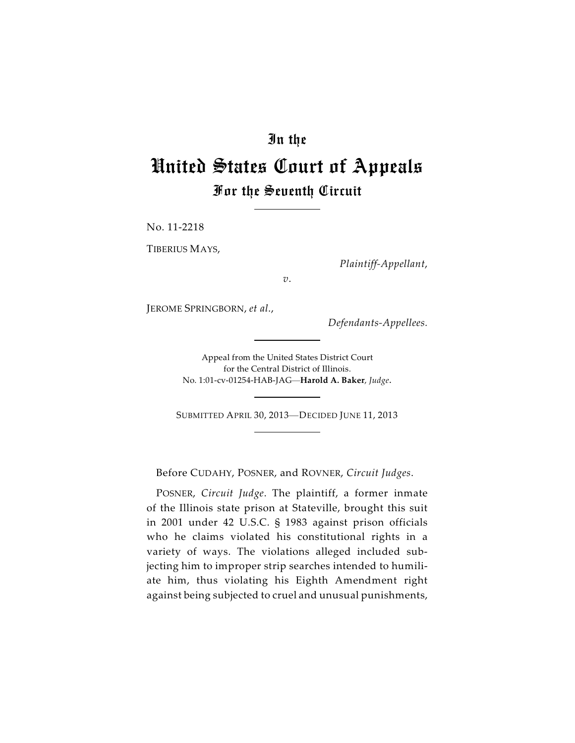## In the

## United States Court of Appeals For the Seventh Circuit

No. 11-2218

TIBERIUS MAYS,

*Plaintiff-Appellant*,

*v*.

JEROME SPRINGBORN, *et al*.,

*Defendants-Appellees.*

Appeal from the United States District Court for the Central District of Illinois. No. 1:01-cv-01254-HAB-JAG—**Harold A. Baker**, *Judge*.

SUBMITTED APRIL 30, 2013—DECIDED JUNE 11, 2013

Before CUDAHY, POSNER, and ROVNER, *Circuit Judges*.

POSNER, *Circuit Judge*. The plaintiff, a former inmate of the Illinois state prison at Stateville, brought this suit in 2001 under 42 U.S.C. § 1983 against prison officials who he claims violated his constitutional rights in a variety of ways. The violations alleged included subjecting him to improper strip searches intended to humiliate him, thus violating his Eighth Amendment right against being subjected to cruel and unusual punishments,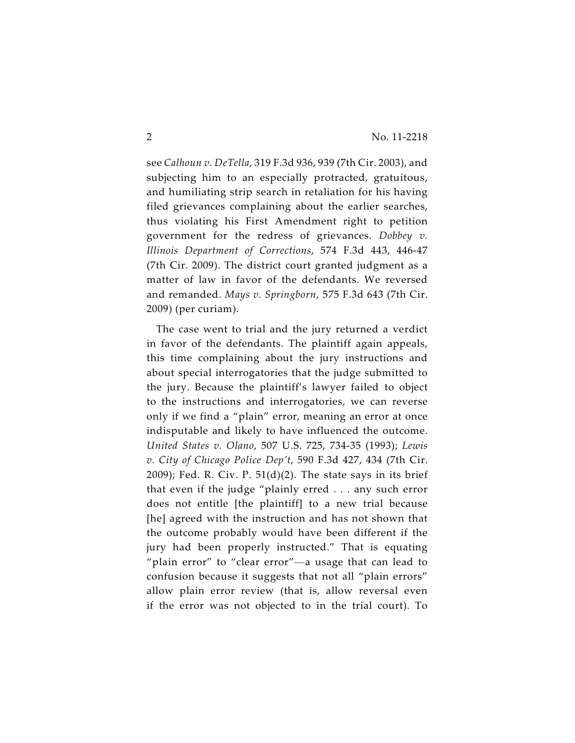see *Calhoun v. DeTella*, 319 F.3d 936, 939 (7th Cir. 2003), and subjecting him to an especially protracted, gratuitous, and humiliating strip search in retaliation for his having filed grievances complaining about the earlier searches, thus violating his First Amendment right to petition government for the redress of grievances. *Dobbey v. Illinois Department of Corrections*, 574 F.3d 443, 446-47 (7th Cir. 2009). The district court granted judgment as a matter of law in favor of the defendants. We reversed and remanded. *Mays v. Springborn*, 575 F.3d 643 (7th Cir. 2009) (per curiam).

The case went to trial and the jury returned a verdict in favor of the defendants. The plaintiff again appeals, this time complaining about the jury instructions and about special interrogatories that the judge submitted to the jury. Because the plaintiff's lawyer failed to object to the instructions and interrogatories, we can reverse only if we find a "plain" error, meaning an error at once indisputable and likely to have influenced the outcome. *United States v. Olano*, 507 U.S. 725, 734-35 (1993); *Lewis v. City of Chicago Police Dep't*, 590 F.3d 427, 434 (7th Cir.  $2009$ ); Fed. R. Civ. P.  $51(d)(2)$ . The state says in its brief that even if the judge "plainly erred . . . any such error does not entitle [the plaintiff] to a new trial because [he] agreed with the instruction and has not shown that the outcome probably would have been different if the jury had been properly instructed." That is equating "plain error" to "clear error"—a usage that can lead to confusion because it suggests that not all "plain errors" allow plain error review (that is, allow reversal even if the error was not objected to in the trial court). To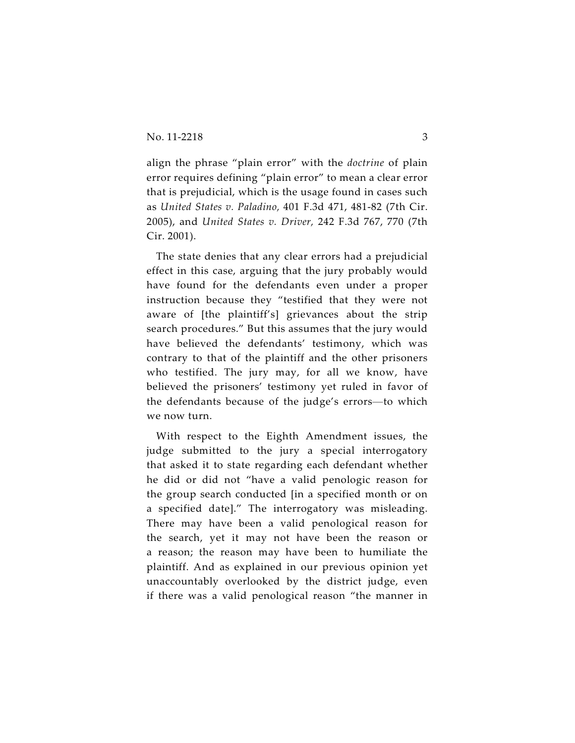align the phrase "plain error" with the *doctrine* of plain error requires defining "plain error" to mean a clear error that is prejudicial, which is the usage found in cases such as *United States v. Paladino,* 401 F.3d 471, 481-82 (7th Cir. 2005), and *United States v. Driver,* 242 F.3d 767, 770 (7th Cir. 2001).

The state denies that any clear errors had a prejudicial effect in this case, arguing that the jury probably would have found for the defendants even under a proper instruction because they "testified that they were not aware of [the plaintiff's] grievances about the strip search procedures." But this assumes that the jury would have believed the defendants' testimony, which was contrary to that of the plaintiff and the other prisoners who testified. The jury may, for all we know, have believed the prisoners' testimony yet ruled in favor of the defendants because of the judge's errors—to which we now turn.

With respect to the Eighth Amendment issues, the judge submitted to the jury a special interrogatory that asked it to state regarding each defendant whether he did or did not "have a valid penologic reason for the group search conducted [in a specified month or on a specified date]." The interrogatory was misleading. There may have been a valid penological reason for the search, yet it may not have been the reason or a reason; the reason may have been to humiliate the plaintiff. And as explained in our previous opinion yet unaccountably overlooked by the district judge, even if there was a valid penological reason "the manner in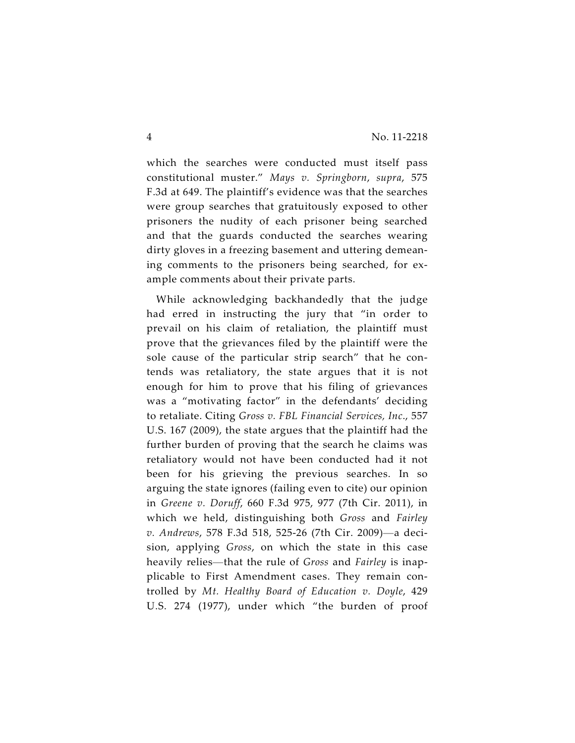which the searches were conducted must itself pass constitutional muster." *Mays v. Springborn*, *supra*, 575 F.3d at 649. The plaintiff's evidence was that the searches were group searches that gratuitously exposed to other prisoners the nudity of each prisoner being searched and that the guards conducted the searches wearing dirty gloves in a freezing basement and uttering demeaning comments to the prisoners being searched, for example comments about their private parts.

While acknowledging backhandedly that the judge had erred in instructing the jury that "in order to prevail on his claim of retaliation, the plaintiff must prove that the grievances filed by the plaintiff were the sole cause of the particular strip search" that he contends was retaliatory, the state argues that it is not enough for him to prove that his filing of grievances was a "motivating factor" in the defendants' deciding to retaliate. Citing *Gross v. FBL Financial Services, Inc*., 557 U.S. 167 (2009), the state argues that the plaintiff had the further burden of proving that the search he claims was retaliatory would not have been conducted had it not been for his grieving the previous searches. In so arguing the state ignores (failing even to cite) our opinion in *Greene v. Doruff*, 660 F.3d 975, 977 (7th Cir. 2011), in which we held, distinguishing both *Gross* and *Fairley v. Andrews*, 578 F.3d 518, 525-26 (7th Cir. 2009)—a decision, applying *Gross*, on which the state in this case heavily relies—that the rule of *Gross* and *Fairley* is inapplicable to First Amendment cases. They remain controlled by *Mt. Healthy Board of Education v. Doyle*, 429 U.S. 274 (1977), under which "the burden of proof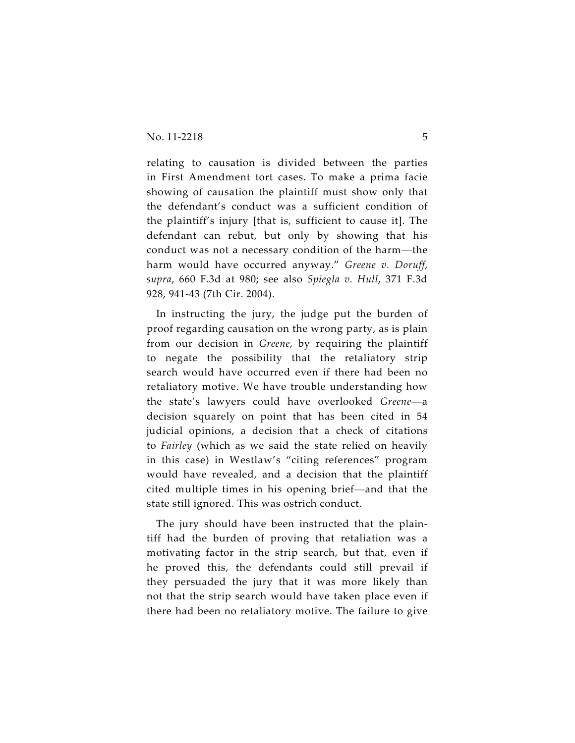relating to causation is divided between the parties in First Amendment tort cases. To make a prima facie showing of causation the plaintiff must show only that the defendant's conduct was a sufficient condition of the plaintiff's injury [that is, sufficient to cause it]. The defendant can rebut, but only by showing that his conduct was not a necessary condition of the harm—the harm would have occurred anyway." *Greene v. Doruff*, *supra*, 660 F.3d at 980; see also *Spiegla v. Hull*, 371 F.3d 928, 941-43 (7th Cir. 2004).

In instructing the jury, the judge put the burden of proof regarding causation on the wrong party, as is plain from our decision in *Greene*, by requiring the plaintiff to negate the possibility that the retaliatory strip search would have occurred even if there had been no retaliatory motive. We have trouble understanding how the state's lawyers could have overlooked *Greene*—a decision squarely on point that has been cited in 54 judicial opinions, a decision that a check of citations to *Fairley* (which as we said the state relied on heavily in this case) in Westlaw's "citing references" program would have revealed, and a decision that the plaintiff cited multiple times in his opening brief—and that the state still ignored. This was ostrich conduct.

The jury should have been instructed that the plaintiff had the burden of proving that retaliation was a motivating factor in the strip search, but that, even if he proved this, the defendants could still prevail if they persuaded the jury that it was more likely than not that the strip search would have taken place even if there had been no retaliatory motive. The failure to give